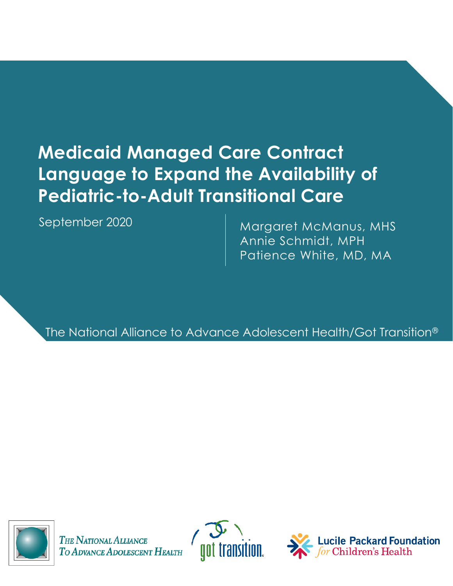# **Medicaid Managed Care Contract Language to Expand the Availability of Pediatric-to-Adult Transitional Care**

September 2020

Margaret McManus, MHS Annie Schmidt, MPH Patience White, MD, MA

The National Alliance to Advance Adolescent Health/Got Transition®



THE NATIONAL ALLIANCE TO ADVANCE ADOLESCENT HEALTH



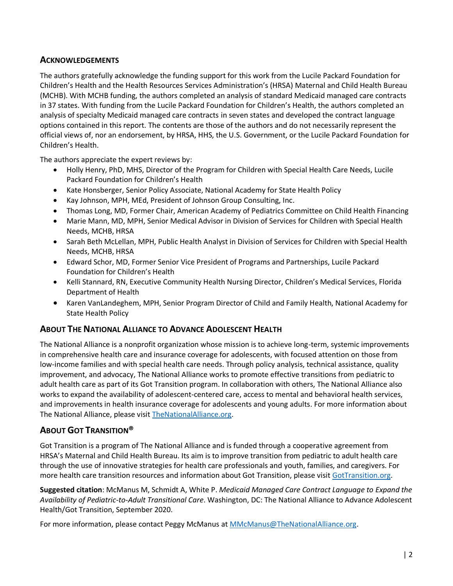### **ACKNOWLEDGEMENTS**

The authors gratefully acknowledge the funding support for this work from the Lucile Packard Foundation for Children's Health and the Health Resources Services Administration's (HRSA) Maternal and Child Health Bureau (MCHB). With MCHB funding, the authors completed an analysis of standard Medicaid managed care contracts in 37 states. With funding from the Lucile Packard Foundation for Children's Health, the authors completed an analysis of specialty Medicaid managed care contracts in seven states and developed the contract language options contained in this report. The contents are those of the authors and do not necessarily represent the official views of, nor an endorsement, by HRSA, HHS, the U.S. Government, or the Lucile Packard Foundation for Children's Health.

The authors appreciate the expert reviews by:

- Holly Henry, PhD, MHS, Director of the Program for Children with Special Health Care Needs, Lucile Packard Foundation for Children's Health
- Kate Honsberger, Senior Policy Associate, National Academy for State Health Policy
- Kay Johnson, MPH, MEd, President of Johnson Group Consulting, Inc.
- Thomas Long, MD, Former Chair, American Academy of Pediatrics Committee on Child Health Financing
- Marie Mann, MD, MPH, Senior Medical Advisor in Division of Services for Children with Special Health Needs, MCHB, HRSA
- Sarah Beth McLellan, MPH, Public Health Analyst in Division of Services for Children with Special Health Needs, MCHB, HRSA
- Edward Schor, MD, Former Senior Vice President of Programs and Partnerships, Lucile Packard Foundation for Children's Health
- Kelli Stannard, RN, Executive Community Health Nursing Director, Children's Medical Services, Florida Department of Health
- Karen VanLandeghem, MPH, Senior Program Director of Child and Family Health, National Academy for State Health Policy

### **ABOUT THE NATIONAL ALLIANCE TO ADVANCE ADOLESCENT HEALTH**

The National Alliance is a nonprofit organization whose mission is to achieve long-term, systemic improvements in comprehensive health care and insurance coverage for adolescents, with focused attention on those from low-income families and with special health care needs. Through policy analysis, technical assistance, quality improvement, and advocacy, The National Alliance works to promote effective transitions from pediatric to adult health care as part of its Got Transition program. In collaboration with others, The National Alliance also works to expand the availability of adolescent-centered care, access to mental and behavioral health services, and improvements in health insurance coverage for adolescents and young adults. For more information about The National Alliance, please visi[t TheNationalAlliance.org.](https://www.thenationalalliance.org/)

### **ABOUT GOT TRANSITION®**

Got Transition is a program of The National Alliance and is funded through a cooperative agreement from HRSA's Maternal and Child Health Bureau. Its aim is to improve transition from pediatric to adult health care through the use of innovative strategies for health care professionals and youth, families, and caregivers. For more health care transition resources and information about Got Transition, please visit [GotTransition.org.](https://www.gottransition.org/)

**Suggested citation**: McManus M, Schmidt A, White P. *Medicaid Managed Care Contract Language to Expand the Availability of Pediatric-to-Adult Transitional Care*. Washington, DC: The National Alliance to Advance Adolescent Health/Got Transition, September 2020.

For more information, please contact Peggy McManus a[t MMcManus@TheNationalAlliance.org.](mailto:MMcManus@TheNationalAlliance.org)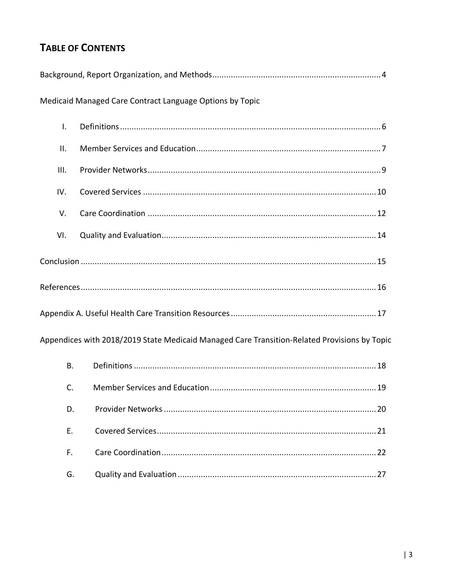## **TABLE OF CONTENTS**

| Medicaid Managed Care Contract Language Options by Topic                                     |  |
|----------------------------------------------------------------------------------------------|--|
| $\mathsf{L}$                                                                                 |  |
| ΙΙ.                                                                                          |  |
| III.                                                                                         |  |
| IV.                                                                                          |  |
| V.                                                                                           |  |
| VI.                                                                                          |  |
|                                                                                              |  |
|                                                                                              |  |
|                                                                                              |  |
| Appendices with 2018/2019 State Medicaid Managed Care Transition-Related Provisions by Topic |  |
| <b>B.</b>                                                                                    |  |
| C.                                                                                           |  |
| D.                                                                                           |  |
| Ε.                                                                                           |  |
| F.                                                                                           |  |
| G.                                                                                           |  |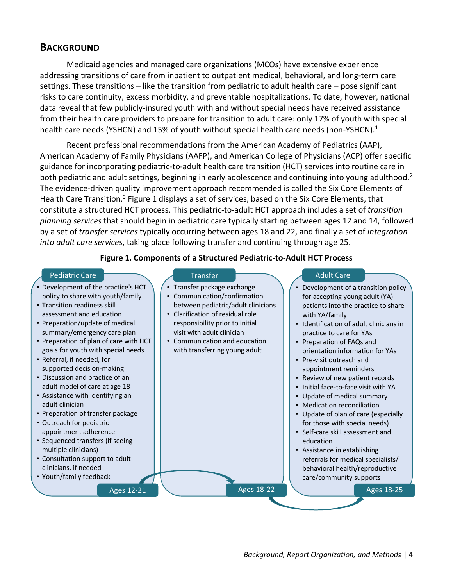### **BACKGROUND**

Medicaid agencies and managed care organizations (MCOs) have extensive experience addressing transitions of care from inpatient to outpatient medical, behavioral, and long-term care settings. These transitions – like the transition from pediatric to adult health care – pose significant risks to care continuity, excess morbidity, and preventable hospitalizations. To date, however, national data reveal that few publicly-insured youth with and without special needs have received assistance from their health care providers to prepare for transition to adult care: only 17% of youth with special health care needs (YSHCN) and 15% of youth without special health care needs (non-YSHCN).<sup>1</sup>

Recent professional recommendations from the American Academy of Pediatrics (AAP), American Academy of Family Physicians (AAFP), and American College of Physicians (ACP) offer specific guidance for incorporating pediatric-to-adult health care transition (HCT) services into routine care in both pediatric and adult settings, beginning in early adolescence and continuing into young adulthood.<sup>2</sup> The evidence-driven quality improvement approach recommended is called the Six Core Elements of Health Care Transition.<sup>3</sup> Figure 1 displays a set of services, based on the Six Core Elements, that constitute a structured HCT process. This pediatric-to-adult HCT approach includes a set of *transition planning services* that should begin in pediatric care typically starting between ages 12 and 14, followed by a set of *transfer services* typically occurring between ages 18 and 22, and finally a set of *integration into adult care services*, taking place following transfer and continuing through age 25.

#### **Figure 1. Components of a Structured Pediatric-to-Adult HCT Process**

#### Pediatric Care **Transfer Adult Care Adult Care**

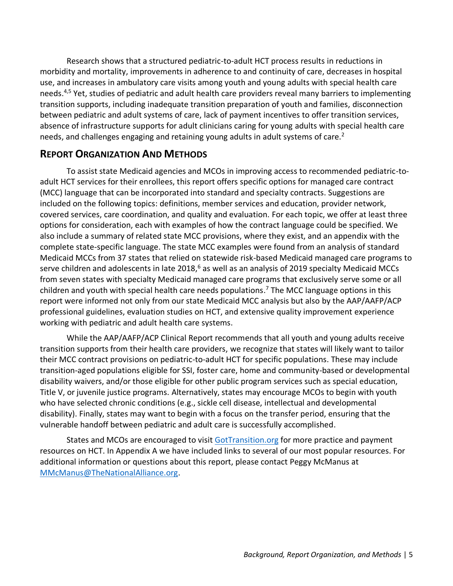Research shows that a structured pediatric-to-adult HCT process results in reductions in morbidity and mortality, improvements in adherence to and continuity of care, decreases in hospital use, and increases in ambulatory care visits among youth and young adults with special health care needs. 4,5 Yet, studies of pediatric and adult health care providers reveal many barriers to implementing transition supports, including inadequate transition preparation of youth and families, disconnection between pediatric and adult systems of care, lack of payment incentives to offer transition services, absence of infrastructure supports for adult clinicians caring for young adults with special health care needs, and challenges engaging and retaining young adults in adult systems of care.<sup>2</sup>

### **REPORT ORGANIZATION AND METHODS**

To assist state Medicaid agencies and MCOs in improving access to recommended pediatric-toadult HCT services for their enrollees, this report offers specific options for managed care contract (MCC) language that can be incorporated into standard and specialty contracts. Suggestions are included on the following topics: definitions, member services and education, provider network, covered services, care coordination, and quality and evaluation. For each topic, we offer at least three options for consideration, each with examples of how the contract language could be specified. We also include a summary of related state MCC provisions, where they exist, and an appendix with the complete state-specific language. The state MCC examples were found from an analysis of standard Medicaid MCCs from 37 states that relied on statewide risk-based Medicaid managed care programs to serve children and adolescents in late 2018,<sup>6</sup> as well as an analysis of 2019 specialty Medicaid MCCs from seven states with specialty Medicaid managed care programs that exclusively serve some or all children and youth with special health care needs populations. <sup>7</sup> The MCC language options in this report were informed not only from our state Medicaid MCC analysis but also by the AAP/AAFP/ACP professional guidelines, evaluation studies on HCT, and extensive quality improvement experience working with pediatric and adult health care systems.

While the AAP/AAFP/ACP Clinical Report recommends that all youth and young adults receive transition supports from their health care providers, we recognize that states will likely want to tailor their MCC contract provisions on pediatric-to-adult HCT for specific populations. These may include transition-aged populations eligible for SSI, foster care, home and community-based or developmental disability waivers, and/or those eligible for other public program services such as special education, Title V, or juvenile justice programs. Alternatively, states may encourage MCOs to begin with youth who have selected chronic conditions (e.g., sickle cell disease, intellectual and developmental disability). Finally, states may want to begin with a focus on the transfer period, ensuring that the vulnerable handoff between pediatric and adult care is successfully accomplished.

States and MCOs are encouraged to visit [GotTransition.org](http://www.gottransition.org/) for more practice and payment resources on HCT. In Appendix A we have included links to several of our most popular resources. For additional information or questions about this report, please contact Peggy McManus at [MMcManus@TheNationalAlliance.org.](mailto:MMcManus@TheNationalAlliance.org)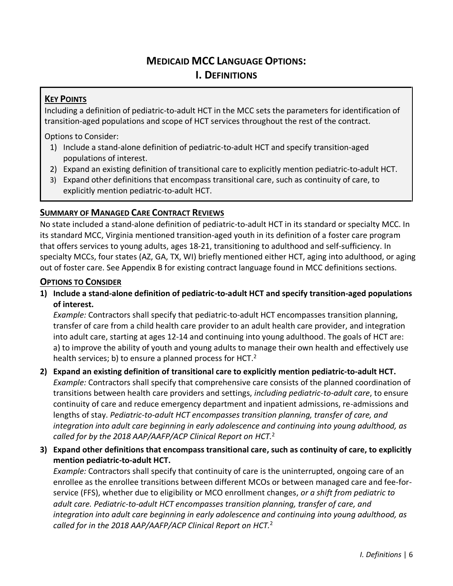## **MEDICAID MCC LANGUAGE OPTIONS:**

### **I. DEFINITIONS**

### **KEY POINTS**

Including a definition of pediatric-to-adult HCT in the MCC sets the parameters for identification of transition-aged populations and scope of HCT services throughout the rest of the contract.

Options to Consider:

- 1) Include a stand-alone definition of pediatric-to-adult HCT and specify transition-aged populations of interest.
- 2) Expand an existing definition of transitional care to explicitly mention pediatric-to-adult HCT.
- 3) Expand other definitions that encompass transitional care, such as continuity of care, to explicitly mention pediatric-to-adult HCT.

### **SUMMARY OF MANAGED CARE CONTRACT REVIEWS**

No state included a stand-alone definition of pediatric-to-adult HCT in its standard or specialty MCC. In its standard MCC, Virginia mentioned transition-aged youth in its definition of a foster care program that offers services to young adults, ages 18-21, transitioning to adulthood and self-sufficiency. In specialty MCCs, four states (AZ, GA, TX, WI) briefly mentioned either HCT, aging into adulthood, or aging out of foster care. See Appendix B for existing contract language found in MCC definitions sections.

### **OPTIONS TO CONSIDER**

**1) Include a stand-alone definition of pediatric-to-adult HCT and specify transition-aged populations of interest.**

*Example:* Contractors shall specify that pediatric-to-adult HCT encompasses transition planning, transfer of care from a child health care provider to an adult health care provider, and integration into adult care, starting at ages 12-14 and continuing into young adulthood. The goals of HCT are: a) to improve the ability of youth and young adults to manage their own health and effectively use health services; b) to ensure a planned process for HCT.<sup>2</sup>

### **2) Expand an existing definition of transitional care to explicitly mention pediatric-to-adult HCT.** *Example:* Contractors shall specify that comprehensive care consists of the planned coordination of transitions between health care providers and settings, *including pediatric-to-adult care*, to ensure continuity of care and reduce emergency department and inpatient admissions, re-admissions and lengths of stay. *Pediatric-to-adult HCT encompasses transition planning, transfer of care, and integration into adult care beginning in early adolescence and continuing into young adulthood, as called for by the 2018 AAP/AAFP/ACP Clinical Report on HCT.* 2

**3) Expand other definitions that encompass transitional care, such as continuity of care, to explicitly mention pediatric-to-adult HCT.**

*Example:* Contractors shall specify that continuity of care is the uninterrupted, ongoing care of an enrollee as the enrollee transitions between different MCOs or between managed care and fee-forservice (FFS), whether due to eligibility or MCO enrollment changes, *or a shift from pediatric to adult care. Pediatric-to-adult HCT encompasses transition planning, transfer of care, and integration into adult care beginning in early adolescence and continuing into young adulthood, as called for in the 2018 AAP/AAFP/ACP Clinical Report on HCT.* 2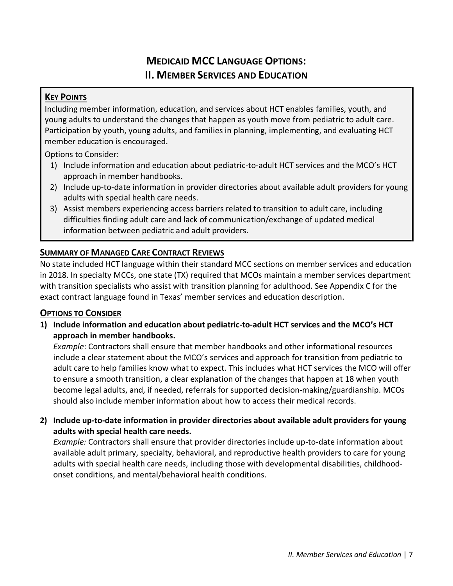## **MEDICAID MCC LANGUAGE OPTIONS: II. MEMBER SERVICES AND EDUCATION**

### **KEY POINTS**

Including member information, education, and services about HCT enables families, youth, and young adults to understand the changes that happen as youth move from pediatric to adult care. Participation by youth, young adults, and families in planning, implementing, and evaluating HCT member education is encouraged.

Options to Consider:

- 1) Include information and education about pediatric-to-adult HCT services and the MCO's HCT approach in member handbooks.
- 2) Include up-to-date information in provider directories about available adult providers for young adults with special health care needs.
- 3) Assist members experiencing access barriers related to transition to adult care, including difficulties finding adult care and lack of communication/exchange of updated medical information between pediatric and adult providers.

### **SUMMARY OF MANAGED CARE CONTRACT REVIEWS**

No state included HCT language within their standard MCC sections on member services and education in 2018. In specialty MCCs, one state (TX) required that MCOs maintain a member services department with transition specialists who assist with transition planning for adulthood. See Appendix C for the exact contract language found in Texas' member services and education description.

### **OPTIONS TO CONSIDER**

**1) Include information and education about pediatric-to-adult HCT services and the MCO's HCT approach in member handbooks.**

*Example*: Contractors shall ensure that member handbooks and other informational resources include a clear statement about the MCO's services and approach for transition from pediatric to adult care to help families know what to expect. This includes what HCT services the MCO will offer to ensure a smooth transition, a clear explanation of the changes that happen at 18 when youth become legal adults, and, if needed, referrals for supported decision-making/guardianship. MCOs should also include member information about how to access their medical records.

### **2) Include up-to-date information in provider directories about available adult providers for young adults with special health care needs.**

*Example:* Contractors shall ensure that provider directories include up-to-date information about available adult primary, specialty, behavioral, and reproductive health providers to care for young adults with special health care needs, including those with developmental disabilities, childhoodonset conditions, and mental/behavioral health conditions.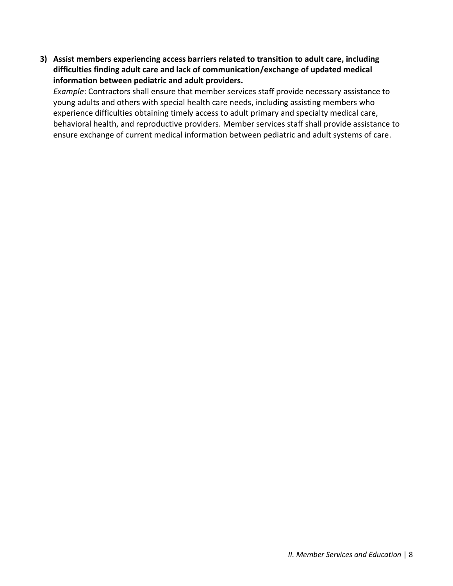**3) Assist members experiencing access barriers related to transition to adult care, including difficulties finding adult care and lack of communication/exchange of updated medical information between pediatric and adult providers.**

*Example*: Contractors shall ensure that member services staff provide necessary assistance to young adults and others with special health care needs, including assisting members who experience difficulties obtaining timely access to adult primary and specialty medical care, behavioral health, and reproductive providers. Member services staff shall provide assistance to ensure exchange of current medical information between pediatric and adult systems of care.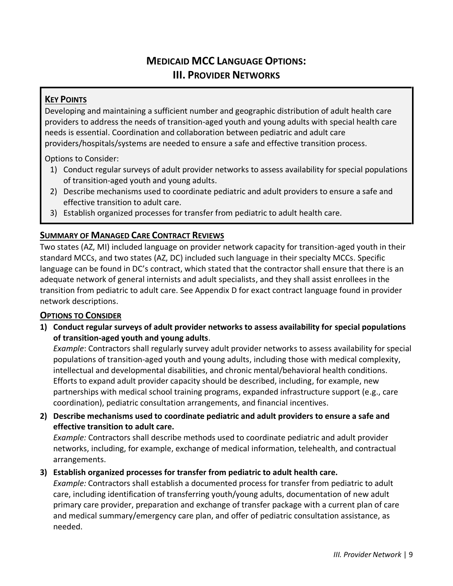## **MEDICAID MCC LANGUAGE OPTIONS: III. PROVIDER NETWORKS**

### **KEY POINTS**

Developing and maintaining a sufficient number and geographic distribution of adult health care providers to address the needs of transition-aged youth and young adults with special health care needs is essential. Coordination and collaboration between pediatric and adult care providers/hospitals/systems are needed to ensure a safe and effective transition process.

Options to Consider:

- 1) Conduct regular surveys of adult provider networks to assess availability for special populations of transition-aged youth and young adults.
- 2) Describe mechanisms used to coordinate pediatric and adult providers to ensure a safe and effective transition to adult care.
- 3) Establish organized processes for transfer from pediatric to adult health care.

### **SUMMARY OF MANAGED CARE CONTRACT REVIEWS**

Two states (AZ, MI) included language on provider network capacity for transition-aged youth in their standard MCCs, and two states (AZ, DC) included such language in their specialty MCCs. Specific language can be found in DC's contract, which stated that the contractor shall ensure that there is an adequate network of general internists and adult specialists, and they shall assist enrollees in the transition from pediatric to adult care. See Appendix D for exact contract language found in provider network descriptions.

### **OPTIONS TO CONSIDER**

**1) Conduct regular surveys of adult provider networks to assess availability for special populations of transition-aged youth and young adults**.

*Example*: Contractors shall regularly survey adult provider networks to assess availability for special populations of transition-aged youth and young adults, including those with medical complexity, intellectual and developmental disabilities, and chronic mental/behavioral health conditions. Efforts to expand adult provider capacity should be described, including, for example, new partnerships with medical school training programs, expanded infrastructure support (e.g., care coordination), pediatric consultation arrangements, and financial incentives.

**2) Describe mechanisms used to coordinate pediatric and adult providers to ensure a safe and effective transition to adult care.**

*Example:* Contractors shall describe methods used to coordinate pediatric and adult provider networks, including, for example, exchange of medical information, telehealth, and contractual arrangements.

### **3) Establish organized processes for transfer from pediatric to adult health care.**

*Example:* Contractors shall establish a documented process for transfer from pediatric to adult care, including identification of transferring youth/young adults, documentation of new adult primary care provider, preparation and exchange of transfer package with a current plan of care and medical summary/emergency care plan, and offer of pediatric consultation assistance, as needed.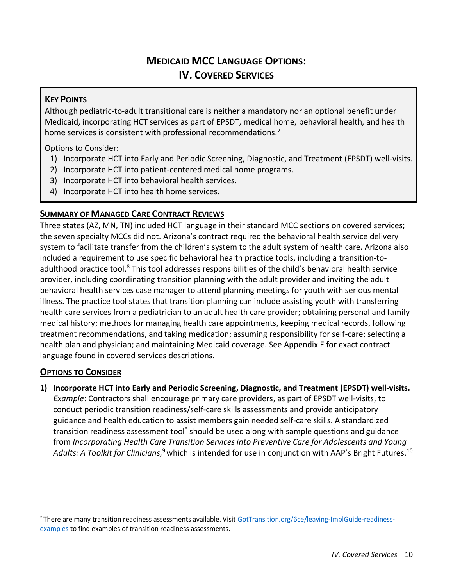## **MEDICAID MCC LANGUAGE OPTIONS: IV. COVERED SERVICES**

### **KEY POINTS**

Although pediatric-to-adult transitional care is neither a mandatory nor an optional benefit under Medicaid, incorporating HCT services as part of EPSDT, medical home, behavioral health, and health home services is consistent with professional recommendations.<sup>2</sup>

Options to Consider:

- 1) Incorporate HCT into Early and Periodic Screening, Diagnostic, and Treatment (EPSDT) well-visits.
- 2) Incorporate HCT into patient-centered medical home programs.
- 3) Incorporate HCT into behavioral health services.
- 4) Incorporate HCT into health home services.

### **SUMMARY OF MANAGED CARE CONTRACT REVIEWS**

Three states (AZ, MN, TN) included HCT language in their standard MCC sections on covered services; the seven specialty MCCs did not. Arizona's contract required the behavioral health service delivery system to facilitate transfer from the children's system to the adult system of health care. Arizona also included a requirement to use specific behavioral health practice tools, including a transition-toadulthood practice tool.<sup>8</sup> This tool addresses responsibilities of the child's behavioral health service provider, including coordinating transition planning with the adult provider and inviting the adult behavioral health services case manager to attend planning meetings for youth with serious mental illness. The practice tool states that transition planning can include assisting youth with transferring health care services from a pediatrician to an adult health care provider; obtaining personal and family medical history; methods for managing health care appointments, keeping medical records, following treatment recommendations, and taking medication; assuming responsibility for self-care; selecting a health plan and physician; and maintaining Medicaid coverage. See Appendix E for exact contract language found in covered services descriptions.

### **OPTIONS TO CONSIDER**

**1) Incorporate HCT into Early and Periodic Screening, Diagnostic, and Treatment (EPSDT) well-visits.**

*Example*: Contractors shall encourage primary care providers, as part of EPSDT well-visits, to conduct periodic transition readiness/self-care skills assessments and provide anticipatory guidance and health education to assist members gain needed self-care skills. A standardized transition readiness assessment tool<sup>\*</sup> should be used along with sample questions and guidance from *Incorporating Health Care Transition Services into Preventive Care for Adolescents and Young*  A*dults: A Toolkit for Clinicians,* <sup>9</sup> which is intended for use in conjunction with AAP's Bright Futures.  $^{10}$ 

<sup>\*</sup> There are many transition readiness assessments available. Visit [GotTransition.org/6ce/leaving-ImplGuide-readiness](https://www.gottransition.org/6ce/?leaving-ImplGuide-readiness-examples)[examples](https://www.gottransition.org/6ce/?leaving-ImplGuide-readiness-examples) to find examples of transition readiness assessments.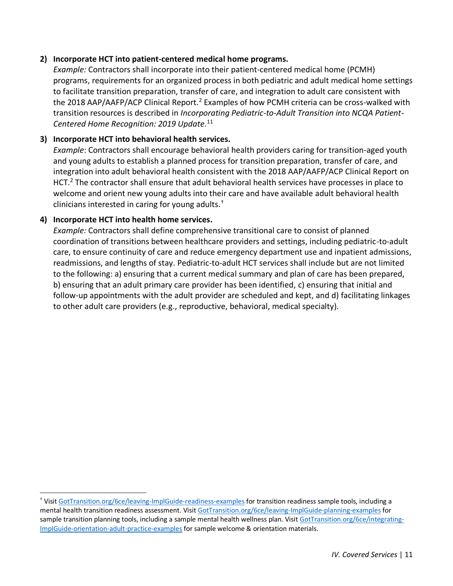#### **2) Incorporate HCT into patient-centered medical home programs.**

*Example:* Contractors shall incorporate into their patient-centered medical home (PCMH) programs, requirements for an organized process in both pediatric and adult medical home settings to facilitate transition preparation, transfer of care, and integration to adult care consistent with the 2018 AAP/AAFP/ACP Clinical Report.<sup>2</sup> Examples of how PCMH criteria can be cross-walked with transition resources is described in *Incorporating Pediatric-to-Adult Transition into NCQA Patient-Centered Home Recognition: 2019 Update.*<sup>11</sup>

#### **3) Incorporate HCT into behavioral health services.**

*Example*: Contractors shall encourage behavioral health providers caring for transition-aged youth and young adults to establish a planned process for transition preparation, transfer of care, and integration into adult behavioral health consistent with the 2018 AAP/AAFP/ACP Clinical Report on HCT.<sup>2</sup> The contractor shall ensure that adult behavioral health services have processes in place to welcome and orient new young adults into their care and have available adult behavioral health clinicians interested in caring for young adults.†

#### **4) Incorporate HCT into health home services.**

*Example:* Contractors shall define comprehensive transitional care to consist of planned coordination of transitions between healthcare providers and settings, including pediatric-to-adult care, to ensure continuity of care and reduce emergency department use and inpatient admissions, readmissions, and lengths of stay. Pediatric-to-adult HCT services shall include but are not limited to the following: a) ensuring that a current medical summary and plan of care has been prepared, b) ensuring that an adult primary care provider has been identified, c) ensuring that initial and follow-up appointments with the adult provider are scheduled and kept, and d) facilitating linkages to other adult care providers (e.g., reproductive, behavioral, medical specialty).

<sup>†</sup> Visit [GotTransition.org/6ce/leaving-ImplGuide-readiness-examples](https://www.gottransition.org/6ce/?leaving-ImplGuide-readiness-examples) for transition readiness sample tools, including a mental health transition readiness assessment. Visi[t GotTransition.org/6ce/leaving-ImplGuide-planning-examples](https://www.gottransition.org/6ce/?leaving-ImplGuide-planning-examples) for sample transition planning tools, including a sample mental health wellness plan. Visit [GotTransition.org/6ce/integrating-](https://www.gottransition.org/6ce/?integrating-ImplGuide-orientation-adult-practice-examples)[ImplGuide-orientation-adult-practice-examples](https://www.gottransition.org/6ce/?integrating-ImplGuide-orientation-adult-practice-examples) for sample welcome & orientation materials.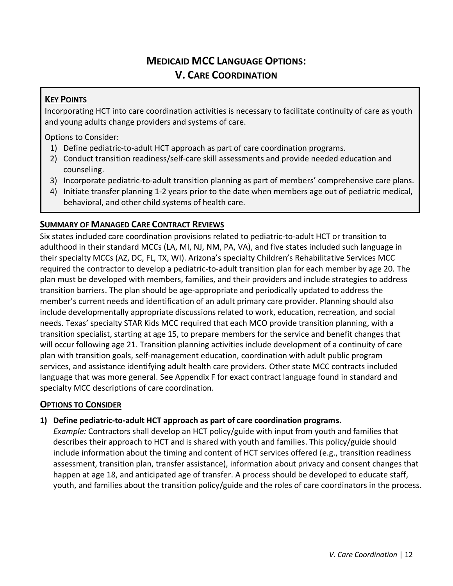## **MEDICAID MCC LANGUAGE OPTIONS: V. CARE COORDINATION**

### **KEY POINTS**

Incorporating HCT into care coordination activities is necessary to facilitate continuity of care as youth and young adults change providers and systems of care.

Options to Consider:

- 1) Define pediatric-to-adult HCT approach as part of care coordination programs.
- 2) Conduct transition readiness/self-care skill assessments and provide needed education and counseling.
- 3) Incorporate pediatric-to-adult transition planning as part of members' comprehensive care plans.
- 4) Initiate transfer planning 1-2 years prior to the date when members age out of pediatric medical, behavioral, and other child systems of health care.

### **SUMMARY OF MANAGED CARE CONTRACT REVIEWS**

Six states included care coordination provisions related to pediatric-to-adult HCT or transition to adulthood in their standard MCCs (LA, MI, NJ, NM, PA, VA), and five states included such language in their specialty MCCs (AZ, DC, FL, TX, WI). Arizona's specialty Children's Rehabilitative Services MCC required the contractor to develop a pediatric-to-adult transition plan for each member by age 20. The plan must be developed with members, families, and their providers and include strategies to address transition barriers. The plan should be age-appropriate and periodically updated to address the member's current needs and identification of an adult primary care provider. Planning should also include developmentally appropriate discussions related to work, education, recreation, and social needs. Texas' specialty STAR Kids MCC required that each MCO provide transition planning, with a transition specialist, starting at age 15, to prepare members for the service and benefit changes that will occur following age 21. Transition planning activities include development of a continuity of care plan with transition goals, self-management education, coordination with adult public program services, and assistance identifying adult health care providers. Other state MCC contracts included language that was more general. See Appendix F for exact contract language found in standard and specialty MCC descriptions of care coordination.

### **OPTIONS TO CONSIDER**

### **1) Define pediatric-to-adult HCT approach as part of care coordination programs.**

*Example:* Contractors shall develop an HCT policy/guide with input from youth and families that describes their approach to HCT and is shared with youth and families. This policy/guide should include information about the timing and content of HCT services offered (e.g., transition readiness assessment, transition plan, transfer assistance), information about privacy and consent changes that happen at age 18, and anticipated age of transfer. A process should be developed to educate staff, youth, and families about the transition policy/guide and the roles of care coordinators in the process.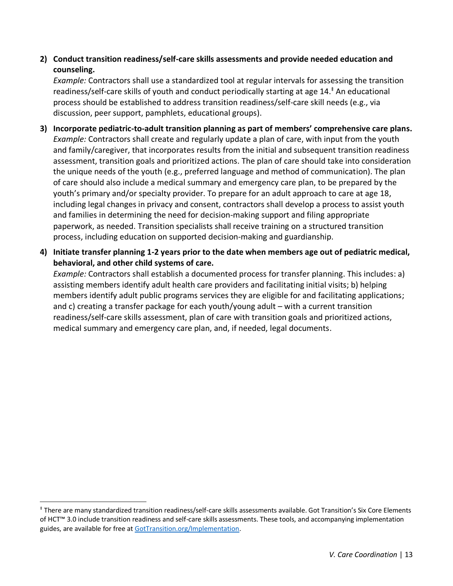### **2) Conduct transition readiness/self-care skills assessments and provide needed education and counseling.**

*Example:* Contractors shall use a standardized tool at regular intervals for assessing the transition readiness/self-care skills of youth and conduct periodically starting at age 14. ‡ An educational process should be established to address transition readiness/self-care skill needs (e.g., via discussion, peer support, pamphlets, educational groups).

- **3) Incorporate pediatric-to-adult transition planning as part of members' comprehensive care plans.** *Example:* Contractors shall create and regularly update a plan of care, with input from the youth and family/caregiver, that incorporates results from the initial and subsequent transition readiness assessment, transition goals and prioritized actions. The plan of care should take into consideration the unique needs of the youth (e.g., preferred language and method of communication). The plan of care should also include a medical summary and emergency care plan, to be prepared by the youth's primary and/or specialty provider. To prepare for an adult approach to care at age 18, including legal changes in privacy and consent, contractors shall develop a process to assist youth and families in determining the need for decision-making support and filing appropriate paperwork, as needed. Transition specialists shall receive training on a structured transition process, including education on supported decision-making and guardianship.
- **4) Initiate transfer planning 1-2 years prior to the date when members age out of pediatric medical, behavioral, and other child systems of care.**

*Example:* Contractors shall establish a documented process for transfer planning. This includes: a) assisting members identify adult health care providers and facilitating initial visits; b) helping members identify adult public programs services they are eligible for and facilitating applications; and c) creating a transfer package for each youth/young adult – with a current transition readiness/self-care skills assessment, plan of care with transition goals and prioritized actions, medical summary and emergency care plan, and, if needed, legal documents.

<sup>‡</sup> There are many standardized transition readiness/self-care skills assessments available. Got Transition's Six Core Elements of HCT™ 3.0 include transition readiness and self-care skills assessments. These tools, and accompanying implementation guides, are available for free at [GotTransition.org/Implementation.](http://www.gottransition.org/Implementation)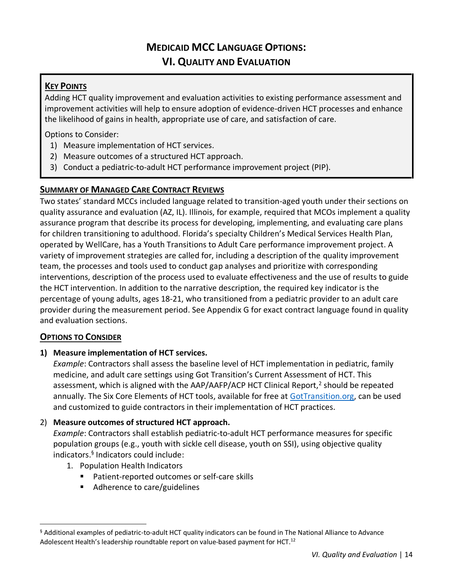## **MEDICAID MCC LANGUAGE OPTIONS: VI. QUALITY AND EVALUATION**

### **KEY POINTS**

Adding HCT quality improvement and evaluation activities to existing performance assessment and improvement activities will help to ensure adoption of evidence-driven HCT processes and enhance the likelihood of gains in health, appropriate use of care, and satisfaction of care.

Options to Consider:

- 1) Measure implementation of HCT services.
- 2) Measure outcomes of a structured HCT approach.
- 3) Conduct a pediatric-to-adult HCT performance improvement project (PIP).

### **SUMMARY OF MANAGED CARE CONTRACT REVIEWS**

Two states' standard MCCs included language related to transition-aged youth under their sections on quality assurance and evaluation (AZ, IL). Illinois, for example, required that MCOs implement a quality assurance program that describe its process for developing, implementing, and evaluating care plans for children transitioning to adulthood. Florida's specialty Children's Medical Services Health Plan, operated by WellCare, has a Youth Transitions to Adult Care performance improvement project. A variety of improvement strategies are called for, including a description of the quality improvement team, the processes and tools used to conduct gap analyses and prioritize with corresponding interventions, description of the process used to evaluate effectiveness and the use of results to guide the HCT intervention. In addition to the narrative description, the required key indicator is the percentage of young adults, ages 18-21, who transitioned from a pediatric provider to an adult care provider during the measurement period. See Appendix G for exact contract language found in quality and evaluation sections.

### **OPTIONS TO CONSIDER**

#### **1) Measure implementation of HCT services.**

*Example*: Contractors shall assess the baseline level of HCT implementation in pediatric, family medicine, and adult care settings using Got Transition's Current Assessment of HCT. This assessment, which is aligned with the AAP/AAFP/ACP HCT Clinical Report,<sup>2</sup> should be repeated annually. The Six Core Elements of HCT tools, available for free at [GotTransition.org,](https://www.gottransition.org/) can be used and customized to guide contractors in their implementation of HCT practices.

### 2) **Measure outcomes of structured HCT approach.**

*Example*: Contractors shall establish pediatric-to-adult HCT performance measures for specific population groups (e.g., youth with sickle cell disease, youth on SSI), using objective quality indicators.<sup>§</sup> Indicators could include:

- 1. Population Health Indicators
	- Patient-reported outcomes or self-care skills
	- Adherence to care/guidelines

<sup>§</sup> Additional examples of pediatric-to-adult HCT quality indicators can be found in The National Alliance to Advance Adolescent Health's leadership roundtable report on value-based payment for HCT.<sup>12</sup>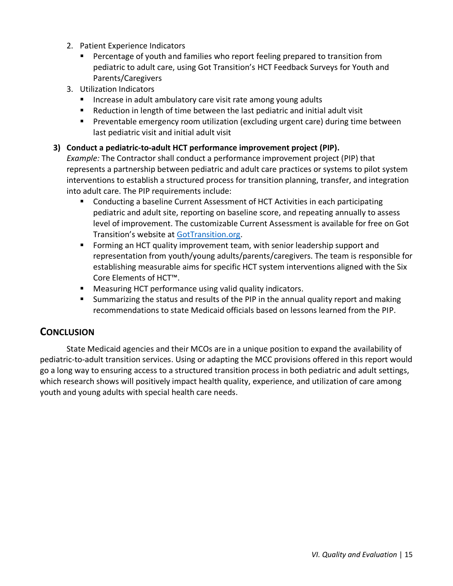- 2. Patient Experience Indicators
	- Percentage of youth and families who report feeling prepared to transition from pediatric to adult care, using Got Transition's HCT Feedback Surveys for Youth and Parents/Caregivers
- 3. Utilization Indicators
	- Increase in adult ambulatory care visit rate among young adults
	- Reduction in length of time between the last pediatric and initial adult visit
	- Preventable emergency room utilization (excluding urgent care) during time between last pediatric visit and initial adult visit

#### **3) Conduct a pediatric-to-adult HCT performance improvement project (PIP).**

*Example:* The Contractor shall conduct a performance improvement project (PIP) that represents a partnership between pediatric and adult care practices or systems to pilot system interventions to establish a structured process for transition planning, transfer, and integration into adult care. The PIP requirements include:

- Conducting a baseline Current Assessment of HCT Activities in each participating pediatric and adult site, reporting on baseline score, and repeating annually to assess level of improvement. The customizable Current Assessment is available for free on Got Transition's website at [GotTransition.org.](https://www.gottransition.org/)
- Forming an HCT quality improvement team, with senior leadership support and representation from youth/young adults/parents/caregivers. The team is responsible for establishing measurable aims for specific HCT system interventions aligned with the Six Core Elements of HCT™.
- Measuring HCT performance using valid quality indicators.
- **E** Summarizing the status and results of the PIP in the annual quality report and making recommendations to state Medicaid officials based on lessons learned from the PIP.

### **CONCLUSION**

State Medicaid agencies and their MCOs are in a unique position to expand the availability of pediatric-to-adult transition services. Using or adapting the MCC provisions offered in this report would go a long way to ensuring access to a structured transition process in both pediatric and adult settings, which research shows will positively impact health quality, experience, and utilization of care among youth and young adults with special health care needs.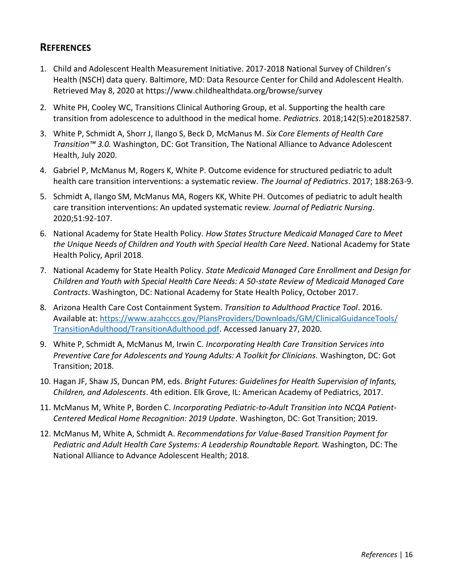### **REFERENCES**

- 1. Child and Adolescent Health Measurement Initiative. 2017-2018 National Survey of Children's Health (NSCH) data query. Baltimore, MD: Data Resource Center for Child and Adolescent Health. Retrieved May 8, 2020 at https://www.childhealthdata.org/browse/survey
- 2. White PH, Cooley WC, Transitions Clinical Authoring Group, et al. Supporting the health care transition from adolescence to adulthood in the medical home. *Pediatrics*. 2018;142(5):e20182587.
- 3. White P, Schmidt A, Shorr J, Ilango S, Beck D, McManus M. *Six Core Elements of Health Care Transition™ 3.0.* Washington, DC: Got Transition, The National Alliance to Advance Adolescent Health, July 2020.
- 4. Gabriel P, McManus M, Rogers K, White P. Outcome evidence for structured pediatric to adult health care transition interventions: a systematic review. *The Journal of Pediatrics*. 2017; 188:263-9.
- 5. Schmidt A, Ilango SM, McManus MA, Rogers KK, White PH. Outcomes of pediatric to adult health care transition interventions: An updated systematic review. *Journal of Pediatric Nursing*. 2020;51:92-107.
- 6. National Academy for State Health Policy. *How States Structure Medicaid Managed Care to Meet the Unique Needs of Children and Youth with Special Health Care Need*. National Academy for State Health Policy, April 2018.
- 7. National Academy for State Health Policy. *State Medicaid Managed Care Enrollment and Design for Children and Youth with Special Health Care Needs: A 50-state Review of Medicaid Managed Care Contracts*. Washington, DC: National Academy for State Health Policy, October 2017.
- 8. Arizona Health Care Cost Containment System. *Transition to Adulthood Practice Tool*. 2016. Available at: [https://www.azahcccs.gov/PlansProviders/Downloads/GM/ClinicalGuidanceTools/](https://www.azahcccs.gov/PlansProviders/Downloads/GM/ClinicalGuidanceTools/TransitionAdulthood/TransitionAdulthood.pdf) [TransitionAdulthood/TransitionAdulthood.pdf.](https://www.azahcccs.gov/PlansProviders/Downloads/GM/ClinicalGuidanceTools/TransitionAdulthood/TransitionAdulthood.pdf) Accessed January 27, 2020.
- 9. White P, Schmidt A, McManus M, Irwin C. *Incorporating Health Care Transition Services into Preventive Care for Adolescents and Young Adults: A Toolkit for Clinicians.* Washington, DC: Got Transition; 2018.
- 10. Hagan JF, Shaw JS, Duncan PM, eds. *Bright Futures: Guidelines for Health Supervision of Infants, Children, and Adolescents*. 4th edition. Elk Grove, IL: American Academy of Pediatrics, 2017.
- 11. McManus M, White P, Borden C. *Incorporating Pediatric-to-Adult Transition into NCQA Patient-Centered Medical Home Recognition: 2019 Update*. Washington, DC: Got Transition; 2019*.*
- 12. McManus M, White A, Schmidt A. *Recommendations for Value-Based Transition Payment for Pediatric and Adult Health Care Systems: A Leadership Roundtable Report.* Washington, DC: The National Alliance to Advance Adolescent Health; 2018.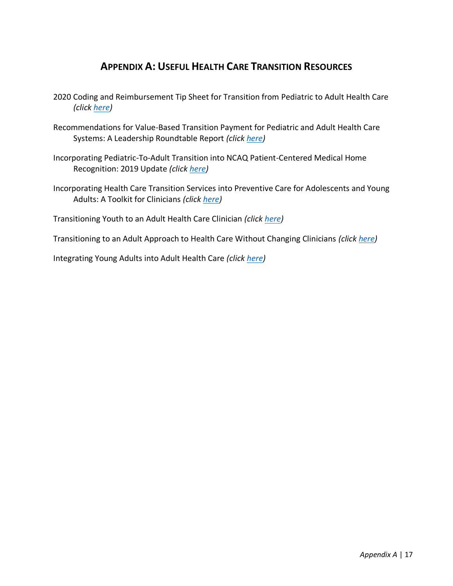### **APPENDIX A: USEFUL HEALTH CARE TRANSITION RESOURCES**

- 2020 Coding and Reimbursement Tip Sheet for Transition from Pediatric to Adult Health Care *(click [here\)](https://www.gottransition.org/resource/?2020-coding-tip-sheet)*
- Recommendations for Value-Based Transition Payment for Pediatric and Adult Health Care Systems: A Leadership Roundtable Report *(click [here\)](https://static1.squarespace.com/static/5871c0e9db29d687bc4726f2/t/5bb676f515fcc077b763fb18/1538684662430/Value-Based+Payment+for+Health+Care+Transition+Report+FINAL+10.4.18.pdf)*
- Incorporating Pediatric-To-Adult Transition into NCAQ Patient-Centered Medical Home Recognition: 2019 Update *(click [here\)](https://gottransition.org/resource/?incorporating-hct-into-ncqa-2019)*
- Incorporating Health Care Transition Services into Preventive Care for Adolescents and Young Adults: A Toolkit for Clinicians *(click [here\)](https://gottransition.org/resource/?clinician-toolkit-preventive-care)*

Transitioning Youth to an Adult Health Care Clinician *(clic[k here\)](https://gottransition.org/six-core-elements/transitioning-youth-to-adult/)*

Transitioning to an Adult Approach to Health Care Without Changing Clinicians *(clic[k here\)](https://gottransition.org/six-core-elements/transitioning-adult-approach/)*

Integrating Young Adults into Adult Health Care *(click [here\)](https://gottransition.org/six-core-elements/integrating-young-adults/)*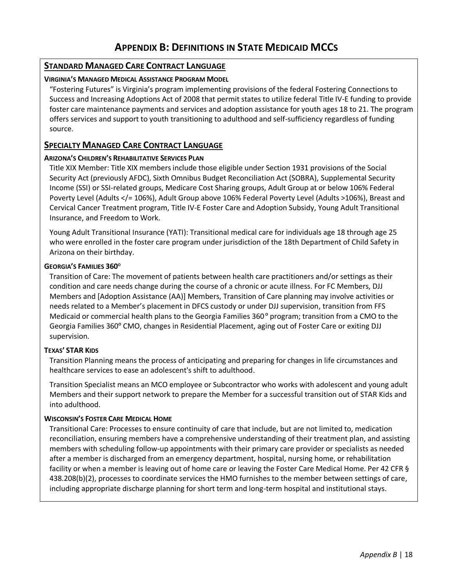#### **STANDARD MANAGED CARE CONTRACT LANGUAGE**

#### **VIRGINIA'S MANAGED MEDICAL ASSISTANCE PROGRAM MODEL**

"Fostering Futures" is Virginia's program implementing provisions of the federal Fostering Connections to Success and Increasing Adoptions Act of 2008 that permit states to utilize federal Title IV-E funding to provide foster care maintenance payments and services and adoption assistance for youth ages 18 to 21. The program offers services and support to youth transitioning to adulthood and self-sufficiency regardless of funding source.

#### **SPECIALTY MANAGED CARE CONTRACT LANGUAGE**

#### **ARIZONA'S CHILDREN'S REHABILITATIVE SERVICES PLAN**

Title XIX Member: Title XIX members include those eligible under Section 1931 provisions of the Social Security Act (previously AFDC), Sixth Omnibus Budget Reconciliation Act (SOBRA), Supplemental Security Income (SSI) or SSI-related groups, Medicare Cost Sharing groups, Adult Group at or below 106% Federal Poverty Level (Adults </= 106%), Adult Group above 106% Federal Poverty Level (Adults >106%), Breast and Cervical Cancer Treatment program, Title IV-E Foster Care and Adoption Subsidy, Young Adult Transitional Insurance, and Freedom to Work.

Young Adult Transitional Insurance (YATI): Transitional medical care for individuals age 18 through age 25 who were enrolled in the foster care program under jurisdiction of the 18th Department of Child Safety in Arizona on their birthday.

#### **GEORGIA'S FAMILIES 360<sup>O</sup>**

Transition of Care: The movement of patients between health care practitioners and/or settings as their condition and care needs change during the course of a chronic or acute illness. For FC Members, DJJ Members and [Adoption Assistance (AA)] Members, Transition of Care planning may involve activities or needs related to a Member's placement in DFCS custody or under DJJ supervision, transition from FFS Medicaid or commercial health plans to the Georgia Families 360° program; transition from a CMO to the Georgia Families 360**<sup>O</sup>** CMO, changes in Residential Placement, aging out of Foster Care or exiting DJJ supervision.

#### **TEXAS' STAR KIDS**

Transition Planning means the process of anticipating and preparing for changes in life circumstances and healthcare services to ease an adolescent's shift to adulthood.

Transition Specialist means an MCO employee or Subcontractor who works with adolescent and young adult Members and their support network to prepare the Member for a successful transition out of STAR Kids and into adulthood.

#### **WISCONSIN'S FOSTER CARE MEDICAL HOME**

Transitional Care: Processes to ensure continuity of care that include, but are not limited to, medication reconciliation, ensuring members have a comprehensive understanding of their treatment plan, and assisting members with scheduling follow-up appointments with their primary care provider or specialists as needed after a member is discharged from an emergency department, hospital, nursing home, or rehabilitation facility or when a member is leaving out of home care or leaving the Foster Care Medical Home. Per 42 CFR § 438.208(b)(2), processes to coordinate services the HMO furnishes to the member between settings of care, including appropriate discharge planning for short term and long-term hospital and institutional stays.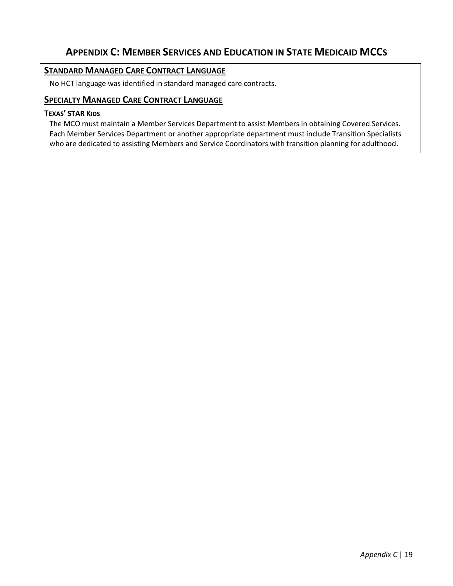## **APPENDIX C: MEMBER SERVICES AND EDUCATION IN STATE MEDICAID MCCS**

### **STANDARD MANAGED CARE CONTRACT LANGUAGE**

No HCT language was identified in standard managed care contracts.

#### **SPECIALTY MANAGED CARE CONTRACT LANGUAGE**

#### **TEXAS' STAR KIDS**

The MCO must maintain a Member Services Department to assist Members in obtaining Covered Services. Each Member Services Department or another appropriate department must include Transition Specialists who are dedicated to assisting Members and Service Coordinators with transition planning for adulthood.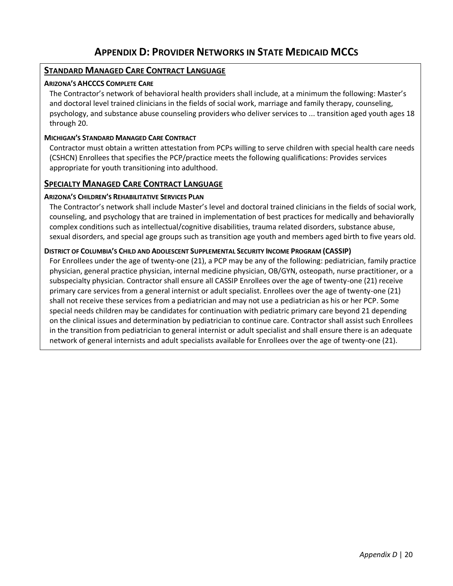### **APPENDIX D: PROVIDER NETWORKS IN STATE MEDICAID MCCS**

### **STANDARD MANAGED CARE CONTRACT LANGUAGE**

#### **ARIZONA'S AHCCCS COMPLETE CARE**

The Contractor's network of behavioral health providers shall include, at a minimum the following: Master's and doctoral level trained clinicians in the fields of social work, marriage and family therapy, counseling, psychology, and substance abuse counseling providers who deliver services to ... transition aged youth ages 18 through 20.

#### **MICHIGAN'S STANDARD MANAGED CARE CONTRACT**

Contractor must obtain a written attestation from PCPs willing to serve children with special health care needs (CSHCN) Enrollees that specifies the PCP/practice meets the following qualifications: Provides services appropriate for youth transitioning into adulthood.

#### **SPECIALTY MANAGED CARE CONTRACT LANGUAGE**

#### **ARIZONA'S CHILDREN'S REHABILITATIVE SERVICES PLAN**

The Contractor's network shall include Master's level and doctoral trained clinicians in the fields of social work, counseling, and psychology that are trained in implementation of best practices for medically and behaviorally complex conditions such as intellectual/cognitive disabilities, trauma related disorders, substance abuse, sexual disorders, and special age groups such as transition age youth and members aged birth to five years old.

#### **DISTRICT OF COLUMBIA'S CHILD AND ADOLESCENT SUPPLEMENTAL SECURITY INCOME PROGRAM (CASSIP)**

For Enrollees under the age of twenty-one (21), a PCP may be any of the following: pediatrician, family practice physician, general practice physician, internal medicine physician, OB/GYN, osteopath, nurse practitioner, or a subspecialty physician. Contractor shall ensure all CASSIP Enrollees over the age of twenty-one (21) receive primary care services from a general internist or adult specialist. Enrollees over the age of twenty-one (21) shall not receive these services from a pediatrician and may not use a pediatrician as his or her PCP. Some special needs children may be candidates for continuation with pediatric primary care beyond 21 depending on the clinical issues and determination by pediatrician to continue care. Contractor shall assist such Enrollees in the transition from pediatrician to general internist or adult specialist and shall ensure there is an adequate network of general internists and adult specialists available for Enrollees over the age of twenty-one (21).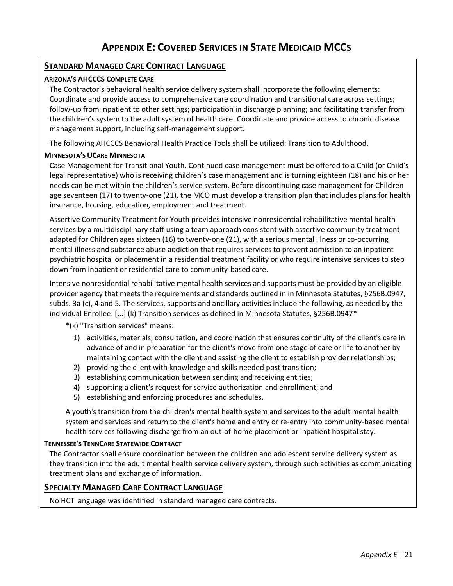#### **STANDARD MANAGED CARE CONTRACT LANGUAGE**

#### **ARIZONA'S AHCCCS COMPLETE CARE**

The Contractor's behavioral health service delivery system shall incorporate the following elements: Coordinate and provide access to comprehensive care coordination and transitional care across settings; follow-up from inpatient to other settings; participation in discharge planning; and facilitating transfer from the children's system to the adult system of health care. Coordinate and provide access to chronic disease management support, including self-management support.

The following AHCCCS Behavioral Health Practice Tools shall be utilized: Transition to Adulthood.

#### **MINNESOTA'S UCARE MINNESOTA**

Case Management for Transitional Youth. Continued case management must be offered to a Child (or Child's legal representative) who is receiving children's case management and is turning eighteen (18) and his or her needs can be met within the children's service system. Before discontinuing case management for Children age seventeen (17) to twenty-one (21), the MCO must develop a transition plan that includes plans for health insurance, housing, education, employment and treatment.

Assertive Community Treatment for Youth provides intensive nonresidential rehabilitative mental health services by a multidisciplinary staff using a team approach consistent with assertive community treatment adapted for Children ages sixteen (16) to twenty-one (21), with a serious mental illness or co-occurring mental illness and substance abuse addiction that requires services to prevent admission to an inpatient psychiatric hospital or placement in a residential treatment facility or who require intensive services to step down from inpatient or residential care to community-based care.

Intensive nonresidential rehabilitative mental health services and supports must be provided by an eligible provider agency that meets the requirements and standards outlined in in Minnesota Statutes, §256B.0947, subds. 3a (c), 4 and 5. The services, supports and ancillary activities include the following, as needed by the individual Enrollee: [...] (k) Transition services as defined in Minnesota Statutes, §256B.0947\*

\*(k) "Transition services" means:

- 1) activities, materials, consultation, and coordination that ensures continuity of the client's care in advance of and in preparation for the client's move from one stage of care or life to another by maintaining contact with the client and assisting the client to establish provider relationships;
- 2) providing the client with knowledge and skills needed post transition;
- 3) establishing communication between sending and receiving entities;
- 4) supporting a client's request for service authorization and enrollment; and
- 5) establishing and enforcing procedures and schedules.

A youth's transition from the children's mental health system and services to the adult mental health system and services and return to the client's home and entry or re-entry into community-based mental health services following discharge from an out-of-home placement or inpatient hospital stay.

#### **TENNESSEE'S TENNCARE STATEWIDE CONTRACT**

The Contractor shall ensure coordination between the children and adolescent service delivery system as they transition into the adult mental health service delivery system, through such activities as communicating treatment plans and exchange of information.

### **SPECIALTY MANAGED CARE CONTRACT LANGUAGE**

No HCT language was identified in standard managed care contracts.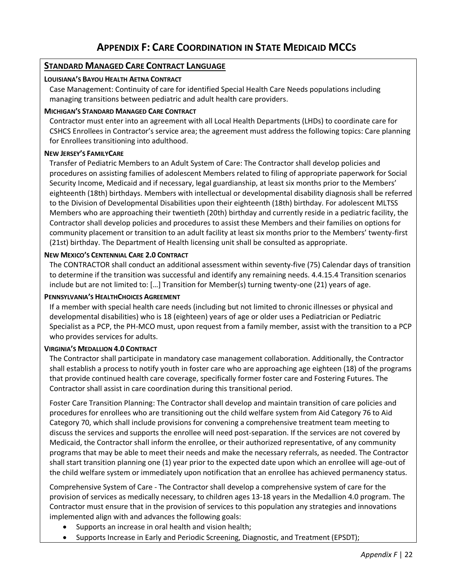#### **STANDARD MANAGED CARE CONTRACT LANGUAGE**

#### **LOUISIANA'S BAYOU HEALTH AETNA CONTRACT**

Case Management: Continuity of care for identified Special Health Care Needs populations including managing transitions between pediatric and adult health care providers.

#### **MICHIGAN'S STANDARD MANAGED CARE CONTRACT**

Contractor must enter into an agreement with all Local Health Departments (LHDs) to coordinate care for CSHCS Enrollees in Contractor's service area; the agreement must address the following topics: Care planning for Enrollees transitioning into adulthood.

#### **NEW JERSEY'S FAMILYCARE**

Transfer of Pediatric Members to an Adult System of Care: The Contractor shall develop policies and procedures on assisting families of adolescent Members related to filing of appropriate paperwork for Social Security Income, Medicaid and if necessary, legal guardianship, at least six months prior to the Members' eighteenth (18th) birthdays. Members with intellectual or developmental disability diagnosis shall be referred to the Division of Developmental Disabilities upon their eighteenth (18th) birthday. For adolescent MLTSS Members who are approaching their twentieth (20th) birthday and currently reside in a pediatric facility, the Contractor shall develop policies and procedures to assist these Members and their families on options for community placement or transition to an adult facility at least six months prior to the Members' twenty-first (21st) birthday. The Department of Health licensing unit shall be consulted as appropriate.

#### **NEW MEXICO'S CENTENNIAL CARE 2.0 CONTRACT**

The CONTRACTOR shall conduct an additional assessment within seventy-five (75) Calendar days of transition to determine if the transition was successful and identify any remaining needs. 4.4.15.4 Transition scenarios include but are not limited to: […] Transition for Member(s) turning twenty-one (21) years of age.

#### **PENNSYLVANIA'S HEALTHCHOICES AGREEMENT**

If a member with special health care needs (including but not limited to chronic illnesses or physical and developmental disabilities) who is 18 (eighteen) years of age or older uses a Pediatrician or Pediatric Specialist as a PCP, the PH-MCO must, upon request from a family member, assist with the transition to a PCP who provides services for adults.

#### **VIRGINIA'S MEDALLION 4.0 CONTRACT**

The Contractor shall participate in mandatory case management collaboration. Additionally, the Contractor shall establish a process to notify youth in foster care who are approaching age eighteen (18) of the programs that provide continued health care coverage, specifically former foster care and Fostering Futures. The Contractor shall assist in care coordination during this transitional period.

Foster Care Transition Planning: The Contractor shall develop and maintain transition of care policies and procedures for enrollees who are transitioning out the child welfare system from Aid Category 76 to Aid Category 70, which shall include provisions for convening a comprehensive treatment team meeting to discuss the services and supports the enrollee will need post-separation. If the services are not covered by Medicaid, the Contractor shall inform the enrollee, or their authorized representative, of any community programs that may be able to meet their needs and make the necessary referrals, as needed. The Contractor shall start transition planning one (1) year prior to the expected date upon which an enrollee will age-out of the child welfare system or immediately upon notification that an enrollee has achieved permanency status.

Comprehensive System of Care - The Contractor shall develop a comprehensive system of care for the provision of services as medically necessary, to children ages 13-18 years in the Medallion 4.0 program. The Contractor must ensure that in the provision of services to this population any strategies and innovations implemented align with and advances the following goals:

- Supports an increase in oral health and vision health;
- Supports Increase in Early and Periodic Screening, Diagnostic, and Treatment (EPSDT);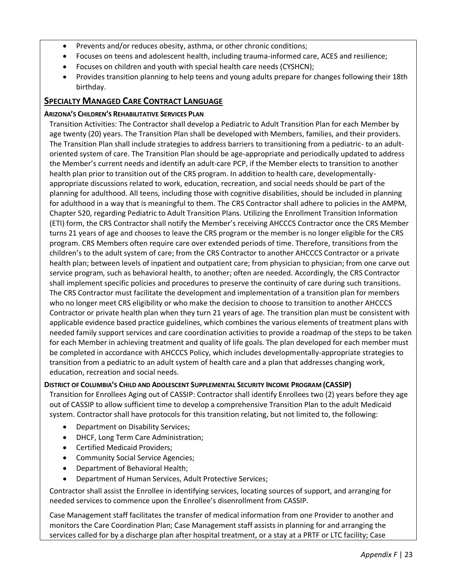- Prevents and/or reduces obesity, asthma, or other chronic conditions;
- Focuses on teens and adolescent health, including trauma-informed care, ACES and resilience;
- Focuses on children and youth with special health care needs (CYSHCN);
- Provides transition planning to help teens and young adults prepare for changes following their 18th birthday.

### **SPECIALTY MANAGED CARE CONTRACT LANGUAGE**

#### **ARIZONA'S CHILDREN'S REHABILITATIVE SERVICES PLAN**

Transition Activities: The Contractor shall develop a Pediatric to Adult Transition Plan for each Member by age twenty (20) years. The Transition Plan shall be developed with Members, families, and their providers. The Transition Plan shall include strategies to address barriers to transitioning from a pediatric- to an adultoriented system of care. The Transition Plan should be age-appropriate and periodically updated to address the Member's current needs and identify an adult-care PCP, if the Member elects to transition to another health plan prior to transition out of the CRS program. In addition to health care, developmentallyappropriate discussions related to work, education, recreation, and social needs should be part of the planning for adulthood. All teens, including those with cognitive disabilities, should be included in planning for adulthood in a way that is meaningful to them. The CRS Contractor shall adhere to policies in the AMPM, Chapter 520, regarding Pediatric to Adult Transition Plans. Utilizing the Enrollment Transition Information (ETI) form, the CRS Contractor shall notify the Member's receiving AHCCCS Contractor once the CRS Member turns 21 years of age and chooses to leave the CRS program or the member is no longer eligible for the CRS program. CRS Members often require care over extended periods of time. Therefore, transitions from the children's to the adult system of care; from the CRS Contractor to another AHCCCS Contractor or a private health plan; between levels of inpatient and outpatient care; from physician to physician; from one carve out service program, such as behavioral health, to another; often are needed. Accordingly, the CRS Contractor shall implement specific policies and procedures to preserve the continuity of care during such transitions. The CRS Contractor must facilitate the development and implementation of a transition plan for members who no longer meet CRS eligibility or who make the decision to choose to transition to another AHCCCS Contractor or private health plan when they turn 21 years of age. The transition plan must be consistent with applicable evidence based practice guidelines, which combines the various elements of treatment plans with needed family support services and care coordination activities to provide a roadmap of the steps to be taken for each Member in achieving treatment and quality of life goals. The plan developed for each member must be completed in accordance with AHCCCS Policy, which includes developmentally-appropriate strategies to transition from a pediatric to an adult system of health care and a plan that addresses changing work, education, recreation and social needs.

#### **DISTRICT OF COLUMBIA'S CHILD AND ADOLESCENT SUPPLEMENTAL SECURITY INCOME PROGRAM (CASSIP)**

Transition for Enrollees Aging out of CASSIP: Contractor shall identify Enrollees two (2) years before they age out of CASSIP to allow sufficient time to develop a comprehensive Transition Plan to the adult Medicaid system. Contractor shall have protocols for this transition relating, but not limited to, the following:

- Department on Disability Services;
- DHCF, Long Term Care Administration;
- Certified Medicaid Providers;
- Community Social Service Agencies;
- Department of Behavioral Health;
- Department of Human Services, Adult Protective Services;

Contractor shall assist the Enrollee in identifying services, locating sources of support, and arranging for needed services to commence upon the Enrollee's disenrollment from CASSIP.

Case Management staff facilitates the transfer of medical information from one Provider to another and monitors the Care Coordination Plan; Case Management staff assists in planning for and arranging the services called for by a discharge plan after hospital treatment, or a stay at a PRTF or LTC facility; Case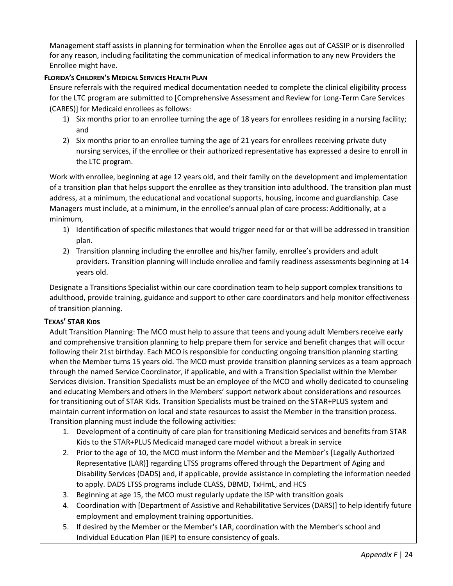Management staff assists in planning for termination when the Enrollee ages out of CASSIP or is disenrolled for any reason, including facilitating the communication of medical information to any new Providers the Enrollee might have.

#### **FLORIDA'S CHILDREN'S MEDICAL SERVICES HEALTH PLAN**

Ensure referrals with the required medical documentation needed to complete the clinical eligibility process for the LTC program are submitted to [Comprehensive Assessment and Review for Long-Term Care Services (CARES)] for Medicaid enrollees as follows:

- 1) Six months prior to an enrollee turning the age of 18 years for enrollees residing in a nursing facility; and
- 2) Six months prior to an enrollee turning the age of 21 years for enrollees receiving private duty nursing services, if the enrollee or their authorized representative has expressed a desire to enroll in the LTC program.

Work with enrollee, beginning at age 12 years old, and their family on the development and implementation of a transition plan that helps support the enrollee as they transition into adulthood. The transition plan must address, at a minimum, the educational and vocational supports, housing, income and guardianship. Case Managers must include, at a minimum, in the enrollee's annual plan of care process: Additionally, at a minimum,

- 1) Identification of specific milestones that would trigger need for or that will be addressed in transition plan.
- 2) Transition planning including the enrollee and his/her family, enrollee's providers and adult providers. Transition planning will include enrollee and family readiness assessments beginning at 14 years old.

Designate a Transitions Specialist within our care coordination team to help support complex transitions to adulthood, provide training, guidance and support to other care coordinators and help monitor effectiveness of transition planning.

### **TEXAS' STAR KIDS**

Adult Transition Planning: The MCO must help to assure that teens and young adult Members receive early and comprehensive transition planning to help prepare them for service and benefit changes that will occur following their 21st birthday. Each MCO is responsible for conducting ongoing transition planning starting when the Member turns 15 years old. The MCO must provide transition planning services as a team approach through the named Service Coordinator, if applicable, and with a Transition Specialist within the Member Services division. Transition Specialists must be an employee of the MCO and wholly dedicated to counseling and educating Members and others in the Members' support network about considerations and resources for transitioning out of STAR Kids. Transition Specialists must be trained on the STAR+PLUS system and maintain current information on local and state resources to assist the Member in the transition process. Transition planning must include the following activities:

- 1. Development of a continuity of care plan for transitioning Medicaid services and benefits from STAR Kids to the STAR+PLUS Medicaid managed care model without a break in service
- 2. Prior to the age of 10, the MCO must inform the Member and the Member's [Legally Authorized Representative (LAR)] regarding LTSS programs offered through the Department of Aging and Disability Services (DADS) and, if applicable, provide assistance in completing the information needed to apply. DADS LTSS programs include CLASS, DBMD, TxHmL, and HCS
- 3. Beginning at age 15, the MCO must regularly update the ISP with transition goals
- 4. Coordination with [Department of Assistive and Rehabilitative Services (DARS)] to help identify future employment and employment training opportunities.
- 5. If desired by the Member or the Member's LAR, coordination with the Member's school and Individual Education Plan (IEP) to ensure consistency of goals.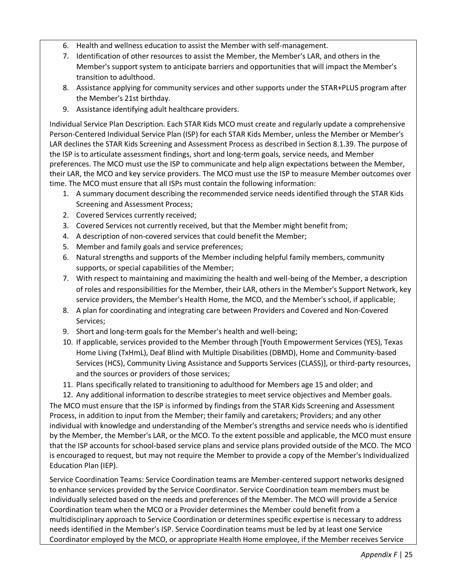- 6. Health and wellness education to assist the Member with self-management.
- 7. Identification of other resources to assist the Member, the Member's LAR, and others in the Member's support system to anticipate barriers and opportunities that will impact the Member's transition to adulthood.
- 8. Assistance applying for community services and other supports under the STAR+PLUS program after the Member's 21st birthday.
- 9. Assistance identifying adult healthcare providers.

Individual Service Plan Description. Each STAR Kids MCO must create and regularly update a comprehensive Person-Centered Individual Service Plan (ISP) for each STAR Kids Member, unless the Member or Member's LAR declines the STAR Kids Screening and Assessment Process as described in Section 8.1.39. The purpose of the ISP is to articulate assessment findings, short and long-term goals, service needs, and Member preferences. The MCO must use the ISP to communicate and help align expectations between the Member, their LAR, the MCO and key service providers. The MCO must use the ISP to measure Member outcomes over time. The MCO must ensure that all ISPs must contain the following information:

- 1. A summary document describing the recommended service needs identified through the STAR Kids Screening and Assessment Process;
- 2. Covered Services currently received;
- 3. Covered Services not currently received, but that the Member might benefit from;
- 4. A description of non-covered services that could benefit the Member;
- 5. Member and family goals and service preferences;
- 6. Natural strengths and supports of the Member including helpful family members, community supports, or special capabilities of the Member;
- 7. With respect to maintaining and maximizing the health and well-being of the Member, a description of roles and responsibilities for the Member, their LAR, others in the Member's Support Network, key service providers, the Member's Health Home, the MCO, and the Member's school, if applicable;
- 8. A plan for coordinating and integrating care between Providers and Covered and Non-Covered Services;
- 9. Short and long-term goals for the Member's health and well-being;
- 10. If applicable, services provided to the Member through [Youth Empowerment Services (YES), Texas Home Living (TxHmL), Deaf Blind with Multiple Disabilities (DBMD), Home and Community-based Services (HCS), Community Living Assistance and Supports Services (CLASS)], or third-party resources, and the sources or providers of those services;
- 11. Plans specifically related to transitioning to adulthood for Members age 15 and older; and
- 12. Any additional information to describe strategies to meet service objectives and Member goals.

The MCO must ensure that the ISP is informed by findings from the STAR Kids Screening and Assessment Process, in addition to input from the Member; their family and caretakers; Providers; and any other individual with knowledge and understanding of the Member's strengths and service needs who is identified by the Member, the Member's LAR, or the MCO. To the extent possible and applicable, the MCO must ensure that the ISP accounts for school-based service plans and service plans provided outside of the MCO. The MCO is encouraged to request, but may not require the Member to provide a copy of the Member's Individualized Education Plan (IEP).

Service Coordination Teams: Service Coordination teams are Member-centered support networks designed to enhance services provided by the Service Coordinator. Service Coordination team members must be individually selected based on the needs and preferences of the Member. The MCO will provide a Service Coordination team when the MCO or a Provider determines the Member could benefit from a multidisciplinary approach to Service Coordination or determines specific expertise is necessary to address needs identified in the Member's ISP. Service Coordination teams must be led by at least one Service Coordinator employed by the MCO, or appropriate Health Home employee, if the Member receives Service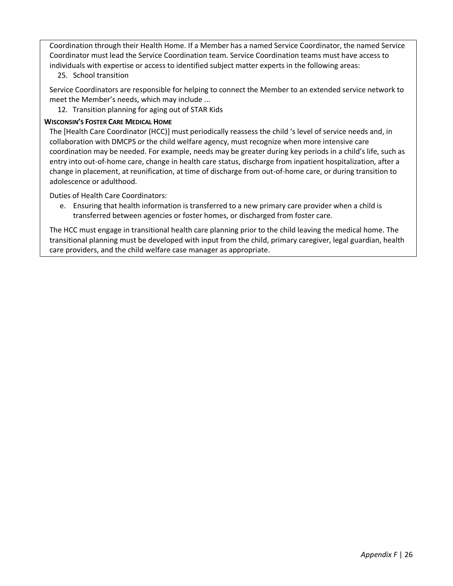Coordination through their Health Home. If a Member has a named Service Coordinator, the named Service Coordinator must lead the Service Coordination team. Service Coordination teams must have access to individuals with expertise or access to identified subject matter experts in the following areas:

25. School transition

Service Coordinators are responsible for helping to connect the Member to an extended service network to meet the Member's needs, which may include ...

12. Transition planning for aging out of STAR Kids

#### **WISCONSIN'S FOSTER CARE MEDICAL HOME**

The [Health Care Coordinator (HCC)] must periodically reassess the child 's level of service needs and, in collaboration with DMCPS or the child welfare agency, must recognize when more intensive care coordination may be needed. For example, needs may be greater during key periods in a child's life, such as entry into out-of-home care, change in health care status, discharge from inpatient hospitalization, after a change in placement, at reunification, at time of discharge from out-of-home care, or during transition to adolescence or adulthood.

Duties of Health Care Coordinators:

e. Ensuring that health information is transferred to a new primary care provider when a child is transferred between agencies or foster homes, or discharged from foster care.

The HCC must engage in transitional health care planning prior to the child leaving the medical home. The transitional planning must be developed with input from the child, primary caregiver, legal guardian, health care providers, and the child welfare case manager as appropriate.